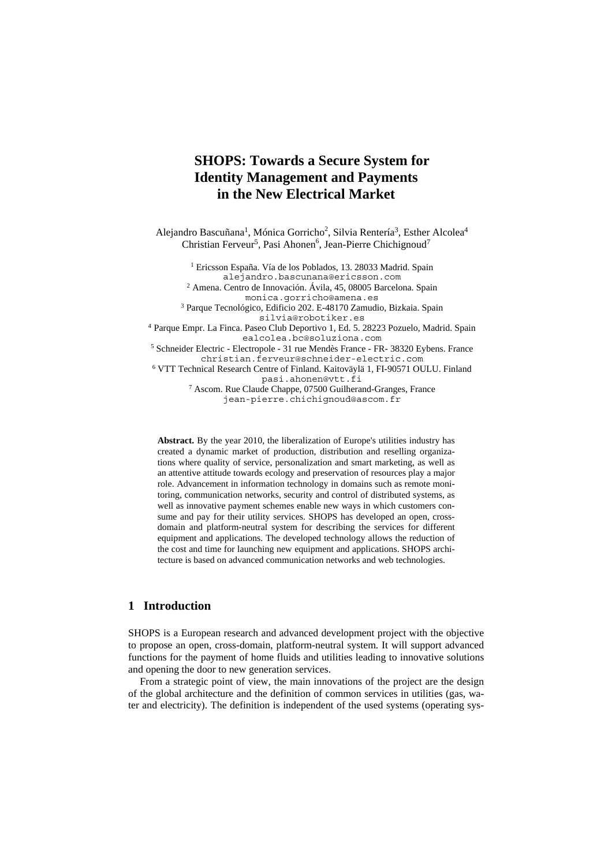# **SHOPS: Towards a Secure System for Identity Management and Payments in the New Electrical Market**

Alejandro Bascuñana<sup>1</sup>, Mónica Gorricho<sup>2</sup>, Silvia Rentería<sup>3</sup>, Esther Alcolea<sup>4</sup> Christian Ferveur<sup>5</sup>, Pasi Ahonen<sup>6</sup>, Jean-Pierre Chichignoud<sup>7</sup>

1 Ericsson España. Vía de los Poblados, 13. 28033 Madrid. Spain alejandro.bascunana@ericsson.com <sup>2</sup> Amena. Centro de Innovación. Ávila, 45, 08005 Barcelona. Spain monica.gorricho@amena.es 3 Parque Tecnológico, Edificio 202. E-48170 Zamudio, Bizkaia. Spain silvia@robotiker.es

<sup>4</sup> Parque Empr. La Finca. Paseo Club Deportivo 1, Ed. 5. 28223 Pozuelo, Madrid. Spain ealcolea.bc@soluziona.com

5 Schneider Electric - Electropole - 31 rue Mendès France - FR- 38320 Eybens. France christian.ferveur@schneider-electric.com

6 VTT Technical Research Centre of Finland. Kaitoväylä 1, FI-90571 OULU. Finland pasi.ahonen@vtt.fi

7 Ascom. Rue Claude Chappe, 07500 Guilherand-Granges, France jean-pierre.chichignoud@ascom.fr

**Abstract.** By the year 2010, the liberalization of Europe's utilities industry has created a dynamic market of production, distribution and reselling organizations where quality of service, personalization and smart marketing, as well as an attentive attitude towards ecology and preservation of resources play a major role. Advancement in information technology in domains such as remote monitoring, communication networks, security and control of distributed systems, as well as innovative payment schemes enable new ways in which customers consume and pay for their utility services. SHOPS has developed an open, crossdomain and platform-neutral system for describing the services for different equipment and applications. The developed technology allows the reduction of the cost and time for launching new equipment and applications. SHOPS architecture is based on advanced communication networks and web technologies.

## **1 Introduction**

SHOPS is a European research and advanced development project with the objective to propose an open, cross-domain, platform-neutral system. It will support advanced functions for the payment of home fluids and utilities leading to innovative solutions and opening the door to new generation services.

From a strategic point of view, the main innovations of the project are the design of the global architecture and the definition of common services in utilities (gas, water and electricity). The definition is independent of the used systems (operating sys-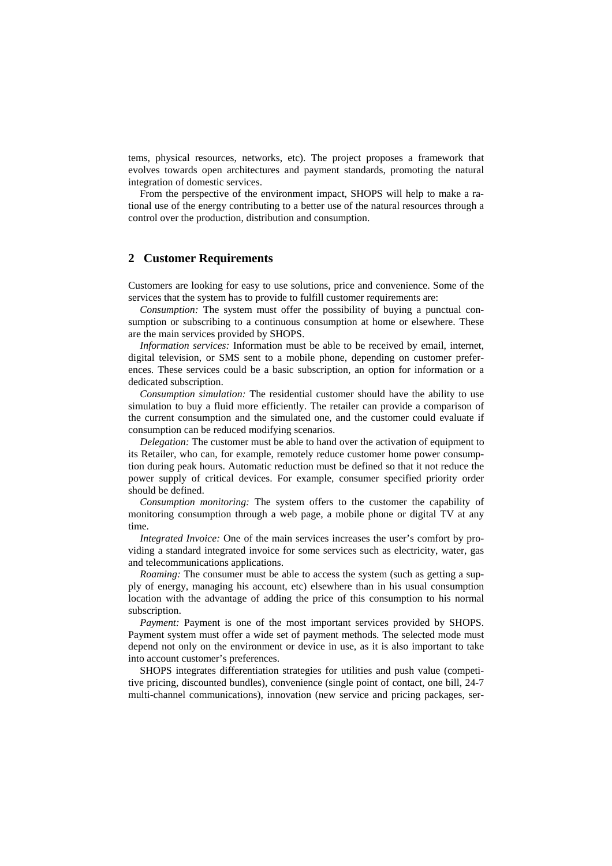tems, physical resources, networks, etc). The project proposes a framework that evolves towards open architectures and payment standards, promoting the natural integration of domestic services.

From the perspective of the environment impact, SHOPS will help to make a rational use of the energy contributing to a better use of the natural resources through a control over the production, distribution and consumption.

#### **2 Customer Requirements**

Customers are looking for easy to use solutions, price and convenience. Some of the services that the system has to provide to fulfill customer requirements are:

*Consumption:* The system must offer the possibility of buying a punctual consumption or subscribing to a continuous consumption at home or elsewhere. These are the main services provided by SHOPS.

*Information services:* Information must be able to be received by email, internet, digital television, or SMS sent to a mobile phone, depending on customer preferences. These services could be a basic subscription, an option for information or a dedicated subscription.

*Consumption simulation:* The residential customer should have the ability to use simulation to buy a fluid more efficiently. The retailer can provide a comparison of the current consumption and the simulated one, and the customer could evaluate if consumption can be reduced modifying scenarios.

*Delegation:* The customer must be able to hand over the activation of equipment to its Retailer, who can, for example, remotely reduce customer home power consumption during peak hours. Automatic reduction must be defined so that it not reduce the power supply of critical devices. For example, consumer specified priority order should be defined.

*Consumption monitoring:* The system offers to the customer the capability of monitoring consumption through a web page, a mobile phone or digital TV at any time.

*Integrated Invoice:* One of the main services increases the user's comfort by providing a standard integrated invoice for some services such as electricity, water, gas and telecommunications applications.

*Roaming:* The consumer must be able to access the system (such as getting a supply of energy, managing his account, etc) elsewhere than in his usual consumption location with the advantage of adding the price of this consumption to his normal subscription.

*Payment:* Payment is one of the most important services provided by SHOPS. Payment system must offer a wide set of payment methods. The selected mode must depend not only on the environment or device in use, as it is also important to take into account customer's preferences.

SHOPS integrates differentiation strategies for utilities and push value (competitive pricing, discounted bundles), convenience (single point of contact, one bill, 24-7 multi-channel communications), innovation (new service and pricing packages, ser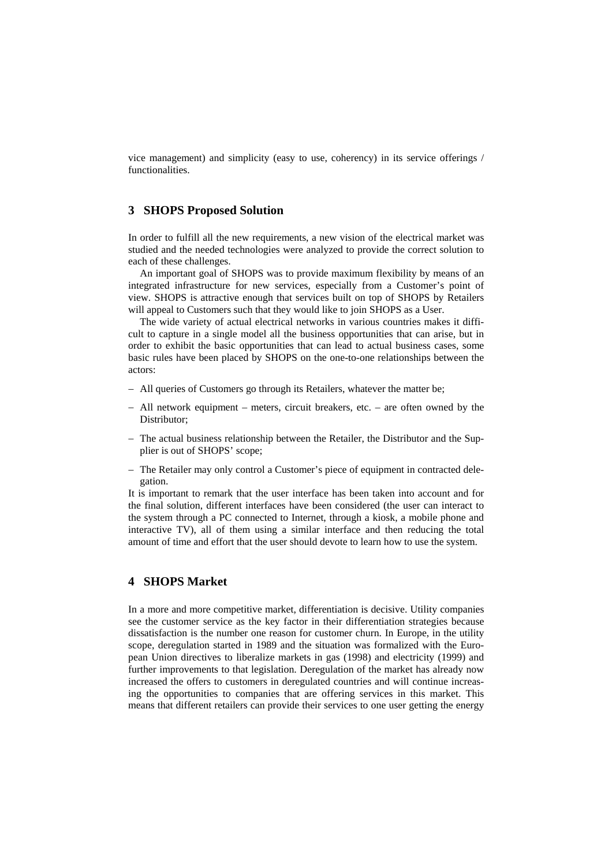vice management) and simplicity (easy to use, coherency) in its service offerings / functionalities.

#### **3 SHOPS Proposed Solution**

In order to fulfill all the new requirements, a new vision of the electrical market was studied and the needed technologies were analyzed to provide the correct solution to each of these challenges.

An important goal of SHOPS was to provide maximum flexibility by means of an integrated infrastructure for new services, especially from a Customer's point of view. SHOPS is attractive enough that services built on top of SHOPS by Retailers will appeal to Customers such that they would like to join SHOPS as a User.

The wide variety of actual electrical networks in various countries makes it difficult to capture in a single model all the business opportunities that can arise, but in order to exhibit the basic opportunities that can lead to actual business cases, some basic rules have been placed by SHOPS on the one-to-one relationships between the actors:

- − All queries of Customers go through its Retailers, whatever the matter be;
- − All network equipment meters, circuit breakers, etc. are often owned by the Distributor;
- − The actual business relationship between the Retailer, the Distributor and the Supplier is out of SHOPS' scope;
- − The Retailer may only control a Customer's piece of equipment in contracted delegation.

It is important to remark that the user interface has been taken into account and for the final solution, different interfaces have been considered (the user can interact to the system through a PC connected to Internet, through a kiosk, a mobile phone and interactive TV), all of them using a similar interface and then reducing the total amount of time and effort that the user should devote to learn how to use the system.

## **4 SHOPS Market**

In a more and more competitive market, differentiation is decisive. Utility companies see the customer service as the key factor in their differentiation strategies because dissatisfaction is the number one reason for customer churn. In Europe, in the utility scope, deregulation started in 1989 and the situation was formalized with the European Union directives to liberalize markets in gas (1998) and electricity (1999) and further improvements to that legislation. Deregulation of the market has already now increased the offers to customers in deregulated countries and will continue increasing the opportunities to companies that are offering services in this market. This means that different retailers can provide their services to one user getting the energy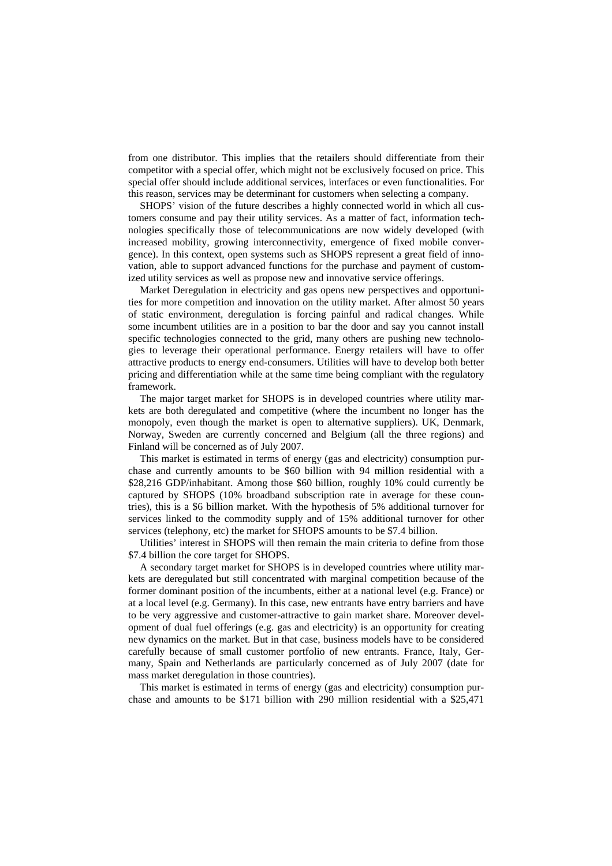from one distributor. This implies that the retailers should differentiate from their competitor with a special offer, which might not be exclusively focused on price. This special offer should include additional services, interfaces or even functionalities. For this reason, services may be determinant for customers when selecting a company.

SHOPS' vision of the future describes a highly connected world in which all customers consume and pay their utility services. As a matter of fact, information technologies specifically those of telecommunications are now widely developed (with increased mobility, growing interconnectivity, emergence of fixed mobile convergence). In this context, open systems such as SHOPS represent a great field of innovation, able to support advanced functions for the purchase and payment of customized utility services as well as propose new and innovative service offerings.

Market Deregulation in electricity and gas opens new perspectives and opportunities for more competition and innovation on the utility market. After almost 50 years of static environment, deregulation is forcing painful and radical changes. While some incumbent utilities are in a position to bar the door and say you cannot install specific technologies connected to the grid, many others are pushing new technologies to leverage their operational performance. Energy retailers will have to offer attractive products to energy end-consumers. Utilities will have to develop both better pricing and differentiation while at the same time being compliant with the regulatory framework.

The major target market for SHOPS is in developed countries where utility markets are both deregulated and competitive (where the incumbent no longer has the monopoly, even though the market is open to alternative suppliers). UK, Denmark, Norway, Sweden are currently concerned and Belgium (all the three regions) and Finland will be concerned as of July 2007.

This market is estimated in terms of energy (gas and electricity) consumption purchase and currently amounts to be \$60 billion with 94 million residential with a \$28,216 GDP/inhabitant. Among those \$60 billion, roughly 10% could currently be captured by SHOPS (10% broadband subscription rate in average for these countries), this is a \$6 billion market. With the hypothesis of 5% additional turnover for services linked to the commodity supply and of 15% additional turnover for other services (telephony, etc) the market for SHOPS amounts to be \$7.4 billion.

Utilities' interest in SHOPS will then remain the main criteria to define from those \$7.4 billion the core target for SHOPS.

A secondary target market for SHOPS is in developed countries where utility markets are deregulated but still concentrated with marginal competition because of the former dominant position of the incumbents, either at a national level (e.g. France) or at a local level (e.g. Germany). In this case, new entrants have entry barriers and have to be very aggressive and customer-attractive to gain market share. Moreover development of dual fuel offerings (e.g. gas and electricity) is an opportunity for creating new dynamics on the market. But in that case, business models have to be considered carefully because of small customer portfolio of new entrants. France, Italy, Germany, Spain and Netherlands are particularly concerned as of July 2007 (date for mass market deregulation in those countries).

This market is estimated in terms of energy (gas and electricity) consumption purchase and amounts to be \$171 billion with 290 million residential with a \$25,471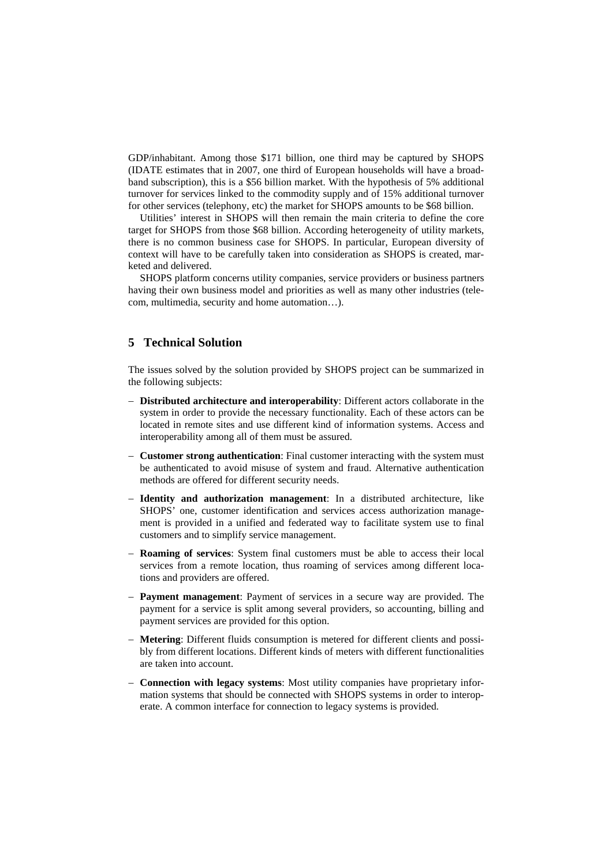GDP/inhabitant. Among those \$171 billion, one third may be captured by SHOPS (IDATE estimates that in 2007, one third of European households will have a broadband subscription), this is a \$56 billion market. With the hypothesis of 5% additional turnover for services linked to the commodity supply and of 15% additional turnover for other services (telephony, etc) the market for SHOPS amounts to be \$68 billion.

Utilities' interest in SHOPS will then remain the main criteria to define the core target for SHOPS from those \$68 billion. According heterogeneity of utility markets, there is no common business case for SHOPS. In particular, European diversity of context will have to be carefully taken into consideration as SHOPS is created, marketed and delivered.

SHOPS platform concerns utility companies, service providers or business partners having their own business model and priorities as well as many other industries (telecom, multimedia, security and home automation…).

## **5 Technical Solution**

The issues solved by the solution provided by SHOPS project can be summarized in the following subjects:

- − **Distributed architecture and interoperability**: Different actors collaborate in the system in order to provide the necessary functionality. Each of these actors can be located in remote sites and use different kind of information systems. Access and interoperability among all of them must be assured.
- − **Customer strong authentication**: Final customer interacting with the system must be authenticated to avoid misuse of system and fraud. Alternative authentication methods are offered for different security needs.
- − **Identity and authorization management**: In a distributed architecture, like SHOPS' one, customer identification and services access authorization management is provided in a unified and federated way to facilitate system use to final customers and to simplify service management.
- **Roaming of services**: System final customers must be able to access their local services from a remote location, thus roaming of services among different locations and providers are offered.
- − **Payment management**: Payment of services in a secure way are provided. The payment for a service is split among several providers, so accounting, billing and payment services are provided for this option.
- − **Metering**: Different fluids consumption is metered for different clients and possibly from different locations. Different kinds of meters with different functionalities are taken into account.
- − **Connection with legacy systems**: Most utility companies have proprietary information systems that should be connected with SHOPS systems in order to interoperate. A common interface for connection to legacy systems is provided.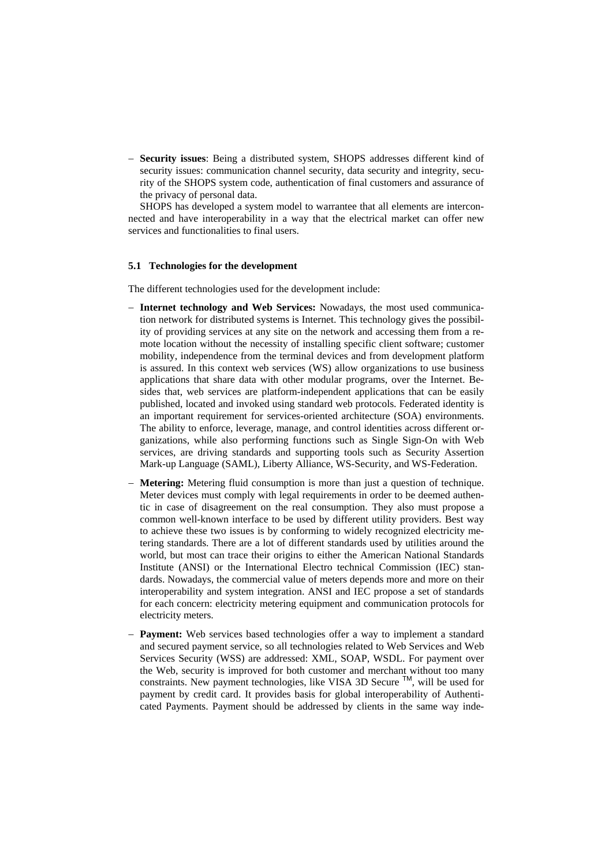− **Security issues**: Being a distributed system, SHOPS addresses different kind of security issues: communication channel security, data security and integrity, security of the SHOPS system code, authentication of final customers and assurance of the privacy of personal data.

SHOPS has developed a system model to warrantee that all elements are interconnected and have interoperability in a way that the electrical market can offer new services and functionalities to final users.

#### **5.1 Technologies for the development**

The different technologies used for the development include:

- − **Internet technology and Web Services:** Nowadays, the most used communication network for distributed systems is Internet. This technology gives the possibility of providing services at any site on the network and accessing them from a remote location without the necessity of installing specific client software; customer mobility, independence from the terminal devices and from development platform is assured. In this context web services (WS) allow organizations to use business applications that share data with other modular programs, over the Internet. Besides that, web services are platform-independent applications that can be easily published, located and invoked using standard web protocols. Federated identity is an important requirement for services-oriented architecture (SOA) environments. The ability to enforce, leverage, manage, and control identities across different organizations, while also performing functions such as Single Sign-On with Web services, are driving standards and supporting tools such as Security Assertion Mark-up Language (SAML), Liberty Alliance, WS-Security, and WS-Federation.
- **Metering:** Metering fluid consumption is more than just a question of technique. Meter devices must comply with legal requirements in order to be deemed authentic in case of disagreement on the real consumption. They also must propose a common well-known interface to be used by different utility providers. Best way to achieve these two issues is by conforming to widely recognized electricity metering standards. There are a lot of different standards used by utilities around the world, but most can trace their origins to either the American National Standards Institute (ANSI) or the International Electro technical Commission (IEC) standards. Nowadays, the commercial value of meters depends more and more on their interoperability and system integration. ANSI and IEC propose a set of standards for each concern: electricity metering equipment and communication protocols for electricity meters.
- **Payment:** Web services based technologies offer a way to implement a standard and secured payment service, so all technologies related to Web Services and Web Services Security (WSS) are addressed: XML, SOAP, WSDL. For payment over the Web, security is improved for both customer and merchant without too many constraints. New payment technologies, like VISA 3D Secure  $\text{TM}$ , will be used for payment by credit card. It provides basis for global interoperability of Authenticated Payments. Payment should be addressed by clients in the same way inde-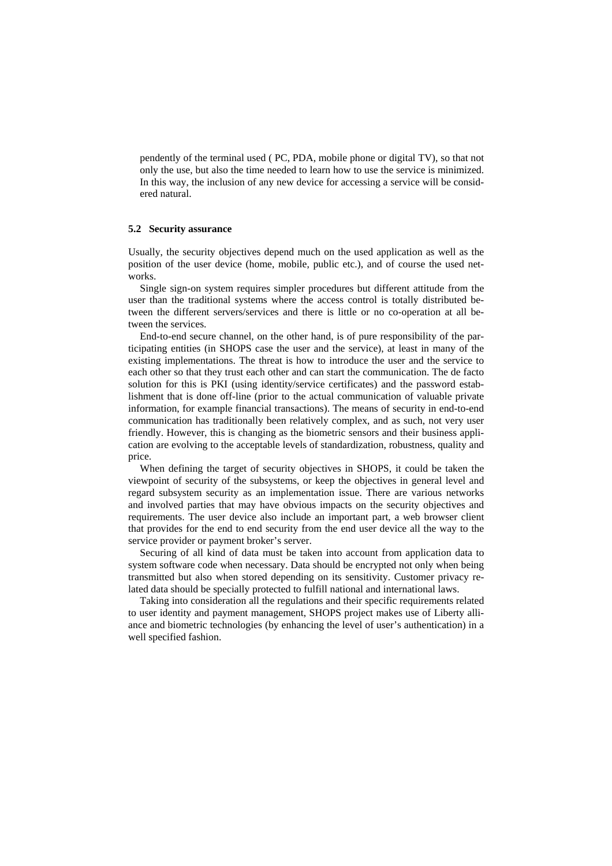pendently of the terminal used ( PC, PDA, mobile phone or digital TV), so that not only the use, but also the time needed to learn how to use the service is minimized. In this way, the inclusion of any new device for accessing a service will be considered natural.

#### **5.2 Security assurance**

Usually, the security objectives depend much on the used application as well as the position of the user device (home, mobile, public etc.), and of course the used networks.

Single sign-on system requires simpler procedures but different attitude from the user than the traditional systems where the access control is totally distributed between the different servers/services and there is little or no co-operation at all between the services.

End-to-end secure channel, on the other hand, is of pure responsibility of the participating entities (in SHOPS case the user and the service), at least in many of the existing implementations. The threat is how to introduce the user and the service to each other so that they trust each other and can start the communication. The de facto solution for this is PKI (using identity/service certificates) and the password establishment that is done off-line (prior to the actual communication of valuable private information, for example financial transactions). The means of security in end-to-end communication has traditionally been relatively complex, and as such, not very user friendly. However, this is changing as the biometric sensors and their business application are evolving to the acceptable levels of standardization, robustness, quality and price.

When defining the target of security objectives in SHOPS, it could be taken the viewpoint of security of the subsystems, or keep the objectives in general level and regard subsystem security as an implementation issue. There are various networks and involved parties that may have obvious impacts on the security objectives and requirements. The user device also include an important part, a web browser client that provides for the end to end security from the end user device all the way to the service provider or payment broker's server.

Securing of all kind of data must be taken into account from application data to system software code when necessary. Data should be encrypted not only when being transmitted but also when stored depending on its sensitivity. Customer privacy related data should be specially protected to fulfill national and international laws.

Taking into consideration all the regulations and their specific requirements related to user identity and payment management, SHOPS project makes use of Liberty alliance and biometric technologies (by enhancing the level of user's authentication) in a well specified fashion.